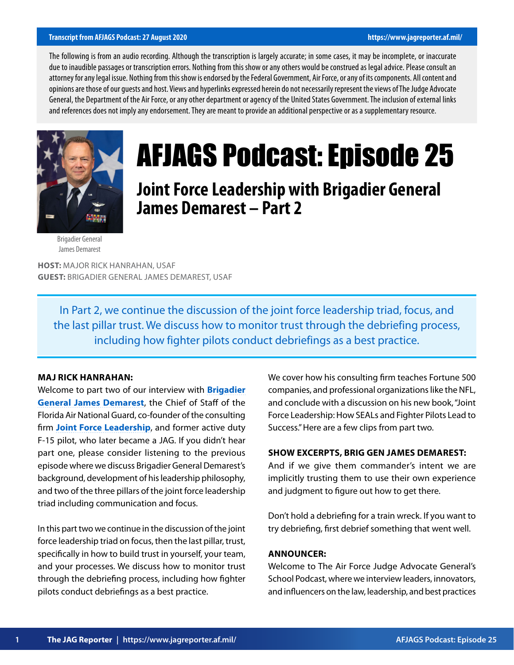#### **Transcript from AFJAGS Podcast: 27 August 2020 https://www.jagreporter.af.mil/**

The following is from an audio recording. Although the transcription is largely accurate; in some cases, it may be incomplete, or inaccurate due to inaudible passages or transcription errors. Nothing from this show or any others would be construed as legal advice. Please consult an attorney for any legal issue. Nothing from this show is endorsed by the Federal Government, Air Force, or any of its components. All content and opinions are those of our guests and host. Views and hyperlinks expressed herein do not necessarily represent the views of The Judge Advocate General, the Department of the Air Force, or any other department or agency of the United States Government. The inclusion of external links and references does not imply any endorsement. They are meant to provide an additional perspective or as a supplementary resource.



# AFJAGS Podcast: Episode 25

**Joint Force Leadership with Brigadier General James Demarest – Part 2**

Brigadier General James Demarest

**HOST:** MAJOR RICK HANRAHAN, USAF **GUEST:** BRIGADIER GENERAL JAMES DEMAREST, USAF

In Part 2, we continue the discussion of the joint force leadership triad, focus, and the last pillar trust. We discuss how to monitor trust through the debriefing process, including how fighter pilots conduct debriefings as a best practice.

#### **MAJ RICK HANRAHAN:**

Welcome to part two of our interview with **[Brigadier](https://www.nationalguard.mil/portals/31/Features/ngbgomo/bio/3/3661.html) [General James Demarest](https://www.nationalguard.mil/portals/31/Features/ngbgomo/bio/3/3661.html)**, the Chief of Staff of the Florida Air National Guard, co-founder of the consulting firm **[Joint Force Leadership](https://www.jointforceleadership.com/)**, and former active duty F-15 pilot, who later became a JAG. If you didn't hear part one, please consider listening to the previous episode where we discuss Brigadier General Demarest's background, development of his leadership philosophy, and two of the three pillars of the joint force leadership triad including communication and focus.

In this part two we continue in the discussion of the joint force leadership triad on focus, then the last pillar, trust, specifically in how to build trust in yourself, your team, and your processes. We discuss how to monitor trust through the debriefing process, including how fighter pilots conduct debriefings as a best practice.

We cover how his consulting firm teaches Fortune 500 companies, and professional organizations like the NFL, and conclude with a discussion on his new book, "Joint Force Leadership: How SEALs and Fighter Pilots Lead to Success." Here are a few clips from part two.

# **SHOW EXCERPTS, BRIG GEN JAMES DEMAREST:**

And if we give them commander's intent we are implicitly trusting them to use their own experience and judgment to figure out how to get there.

Don't hold a debriefing for a train wreck. If you want to try debriefing, first debrief something that went well.

#### **ANNOUNCER:**

Welcome to The Air Force Judge Advocate General's School Podcast, where we interview leaders, innovators, and influencers on the law, leadership, and best practices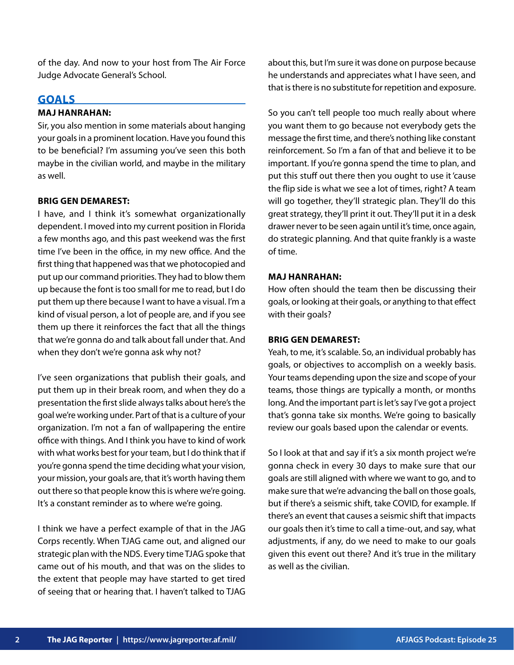of the day. And now to your host from The Air Force Judge Advocate General's School.

# **GOALS**

# **MAJ HANRAHAN:**

Sir, you also mention in some materials about hanging your goals in a prominent location. Have you found this to be beneficial? I'm assuming you've seen this both maybe in the civilian world, and maybe in the military as well.

# **BRIG GEN DEMAREST:**

I have, and I think it's somewhat organizationally dependent. I moved into my current position in Florida a few months ago, and this past weekend was the first time I've been in the office, in my new office. And the first thing that happened was that we photocopied and put up our command priorities. They had to blow them up because the font is too small for me to read, but I do put them up there because I want to have a visual. I'm a kind of visual person, a lot of people are, and if you see them up there it reinforces the fact that all the things that we're gonna do and talk about fall under that. And when they don't we're gonna ask why not?

I've seen organizations that publish their goals, and put them up in their break room, and when they do a presentation the first slide always talks about here's the goal we're working under. Part of that is a culture of your organization. I'm not a fan of wallpapering the entire office with things. And I think you have to kind of work with what works best for your team, but I do think that if you're gonna spend the time deciding what your vision, your mission, your goals are, that it's worth having them out there so that people know this is where we're going. It's a constant reminder as to where we're going.

I think we have a perfect example of that in the JAG Corps recently. When TJAG came out, and aligned our strategic plan with the NDS. Every time TJAG spoke that came out of his mouth, and that was on the slides to the extent that people may have started to get tired of seeing that or hearing that. I haven't talked to TJAG about this, but I'm sure it was done on purpose because he understands and appreciates what I have seen, and that is there is no substitute for repetition and exposure.

So you can't tell people too much really about where you want them to go because not everybody gets the message the first time, and there's nothing like constant reinforcement. So I'm a fan of that and believe it to be important. If you're gonna spend the time to plan, and put this stuff out there then you ought to use it 'cause the flip side is what we see a lot of times, right? A team will go together, they'll strategic plan. They'll do this great strategy, they'll print it out. They'll put it in a desk drawer never to be seen again until it's time, once again, do strategic planning. And that quite frankly is a waste of time.

# **MAJ HANRAHAN:**

How often should the team then be discussing their goals, or looking at their goals, or anything to that effect with their goals?

# **BRIG GEN DEMAREST:**

Yeah, to me, it's scalable. So, an individual probably has goals, or objectives to accomplish on a weekly basis. Your teams depending upon the size and scope of your teams, those things are typically a month, or months long. And the important part is let's say I've got a project that's gonna take six months. We're going to basically review our goals based upon the calendar or events.

So I look at that and say if it's a six month project we're gonna check in every 30 days to make sure that our goals are still aligned with where we want to go, and to make sure that we're advancing the ball on those goals, but if there's a seismic shift, take COVID, for example. If there's an event that causes a seismic shift that impacts our goals then it's time to call a time-out, and say, what adjustments, if any, do we need to make to our goals given this event out there? And it's true in the military as well as the civilian.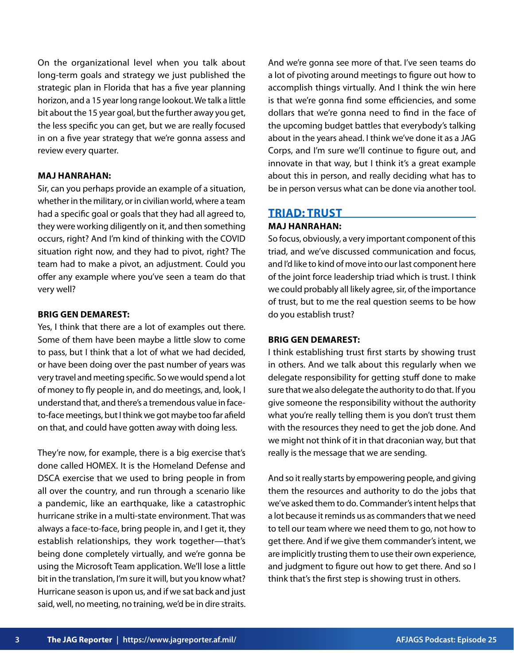On the organizational level when you talk about long-term goals and strategy we just published the strategic plan in Florida that has a five year planning horizon, and a 15 year long range lookout. We talk a little bit about the 15 year goal, but the further away you get, the less specific you can get, but we are really focused in on a five year strategy that we're gonna assess and review every quarter.

# **MAJ HANRAHAN:**

Sir, can you perhaps provide an example of a situation, whether in the military, or in civilian world, where a team had a specific goal or goals that they had all agreed to, they were working diligently on it, and then something occurs, right? And I'm kind of thinking with the COVID situation right now, and they had to pivot, right? The team had to make a pivot, an adjustment. Could you offer any example where you've seen a team do that very well?

#### **BRIG GEN DEMAREST:**

Yes, I think that there are a lot of examples out there. Some of them have been maybe a little slow to come to pass, but I think that a lot of what we had decided, or have been doing over the past number of years was very travel and meeting specific. So we would spend a lot of money to fly people in, and do meetings, and, look, I understand that, and there's a tremendous value in faceto-face meetings, but I think we got maybe too far afield on that, and could have gotten away with doing less.

They're now, for example, there is a big exercise that's done called HOMEX. It is the Homeland Defense and DSCA exercise that we used to bring people in from all over the country, and run through a scenario like a pandemic, like an earthquake, like a catastrophic hurricane strike in a multi-state environment. That was always a face-to-face, bring people in, and I get it, they establish relationships, they work together—that's being done completely virtually, and we're gonna be using the Microsoft Team application. We'll lose a little bit in the translation, I'm sure it will, but you know what? Hurricane season is upon us, and if we sat back and just said, well, no meeting, no training, we'd be in dire straits.

And we're gonna see more of that. I've seen teams do a lot of pivoting around meetings to figure out how to accomplish things virtually. And I think the win here is that we're gonna find some efficiencies, and some dollars that we're gonna need to find in the face of the upcoming budget battles that everybody's talking about in the years ahead. I think we've done it as a JAG Corps, and I'm sure we'll continue to figure out, and innovate in that way, but I think it's a great example about this in person, and really deciding what has to be in person versus what can be done via another tool.

## **TRIAD: TRUST**

## **MAJ HANRAHAN:**

So focus, obviously, a very important component of this triad, and we've discussed communication and focus, and I'd like to kind of move into our last component here of the joint force leadership triad which is trust. I think we could probably all likely agree, sir, of the importance of trust, but to me the real question seems to be how do you establish trust?

#### **BRIG GEN DEMAREST:**

I think establishing trust first starts by showing trust in others. And we talk about this regularly when we delegate responsibility for getting stuff done to make sure that we also delegate the authority to do that. If you give someone the responsibility without the authority what you're really telling them is you don't trust them with the resources they need to get the job done. And we might not think of it in that draconian way, but that really is the message that we are sending.

And so it really starts by empowering people, and giving them the resources and authority to do the jobs that we've asked them to do. Commander's intent helps that a lot because it reminds us as commanders that we need to tell our team where we need them to go, not how to get there. And if we give them commander's intent, we are implicitly trusting them to use their own experience, and judgment to figure out how to get there. And so I think that's the first step is showing trust in others.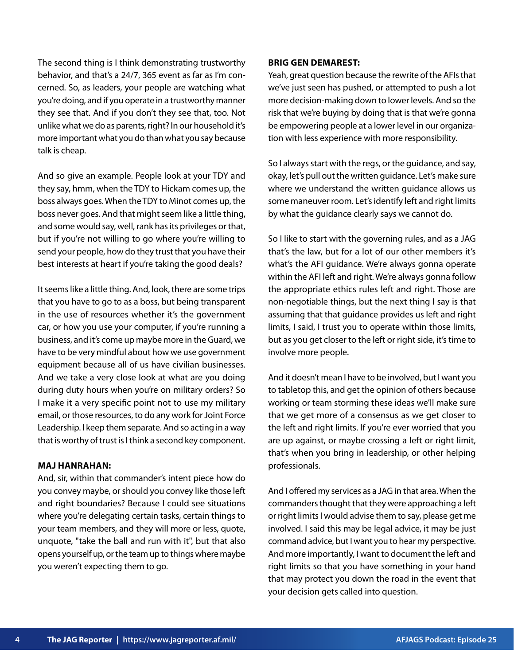The second thing is I think demonstrating trustworthy behavior, and that's a 24/7, 365 event as far as I'm concerned. So, as leaders, your people are watching what you're doing, and if you operate in a trustworthy manner they see that. And if you don't they see that, too. Not unlike what we do as parents, right? In our household it's more important what you do than what you say because talk is cheap.

And so give an example. People look at your TDY and they say, hmm, when the TDY to Hickam comes up, the boss always goes. When the TDY to Minot comes up, the boss never goes. And that might seem like a little thing, and some would say, well, rank has its privileges or that, but if you're not willing to go where you're willing to send your people, how do they trust that you have their best interests at heart if you're taking the good deals?

It seems like a little thing. And, look, there are some trips that you have to go to as a boss, but being transparent in the use of resources whether it's the government car, or how you use your computer, if you're running a business, and it's come up maybe more in the Guard, we have to be very mindful about how we use government equipment because all of us have civilian businesses. And we take a very close look at what are you doing during duty hours when you're on military orders? So I make it a very specific point not to use my military email, or those resources, to do any work for Joint Force Leadership. I keep them separate. And so acting in a way that is worthy of trust is I think a second key component.

#### **MAJ HANRAHAN:**

And, sir, within that commander's intent piece how do you convey maybe, or should you convey like those left and right boundaries? Because I could see situations where you're delegating certain tasks, certain things to your team members, and they will more or less, quote, unquote, "take the ball and run with it", but that also opens yourself up, or the team up to things where maybe you weren't expecting them to go.

#### **BRIG GEN DEMAREST:**

Yeah, great question because the rewrite of the AFIs that we've just seen has pushed, or attempted to push a lot more decision-making down to lower levels. And so the risk that we're buying by doing that is that we're gonna be empowering people at a lower level in our organization with less experience with more responsibility.

So I always start with the regs, or the guidance, and say, okay, let's pull out the written guidance. Let's make sure where we understand the written guidance allows us some maneuver room. Let's identify left and right limits by what the guidance clearly says we cannot do.

So I like to start with the governing rules, and as a JAG that's the law, but for a lot of our other members it's what's the AFI guidance. We're always gonna operate within the AFI left and right. We're always gonna follow the appropriate ethics rules left and right. Those are non-negotiable things, but the next thing I say is that assuming that that guidance provides us left and right limits, I said, I trust you to operate within those limits, but as you get closer to the left or right side, it's time to involve more people.

And it doesn't mean I have to be involved, but I want you to tabletop this, and get the opinion of others because working or team storming these ideas we'll make sure that we get more of a consensus as we get closer to the left and right limits. If you're ever worried that you are up against, or maybe crossing a left or right limit, that's when you bring in leadership, or other helping professionals.

And I offered my services as a JAG in that area. When the commanders thought that they were approaching a left or right limits I would advise them to say, please get me involved. I said this may be legal advice, it may be just command advice, but I want you to hear my perspective. And more importantly, I want to document the left and right limits so that you have something in your hand that may protect you down the road in the event that your decision gets called into question.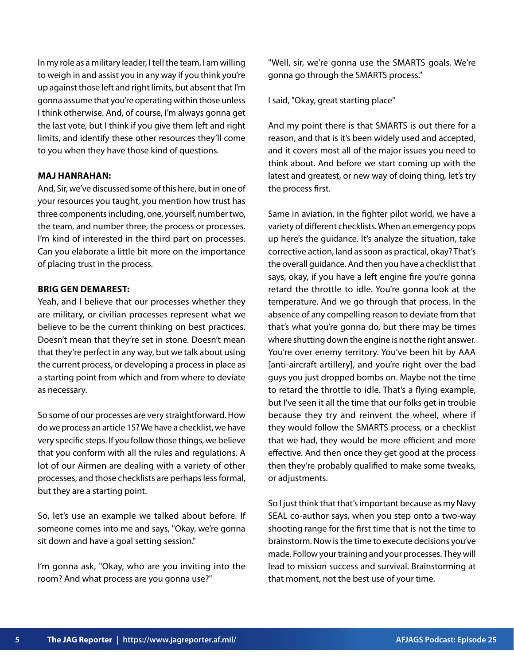In my role as a military leader, I tell the team, I am willing to weigh in and assist you in any way if you think you're up against those left and right limits, but absent that I'm gonna assume that you're operating within those unless I think otherwise. And, of course, I'm always gonna get the last vote, but I think if you give them left and right limits, and identify these other resources they'll come to you when they have those kind of questions.

# **MAJ HANRAHAN:**

And, Sir, we've discussed some of this here, but in one of your resources you taught, you mention how trust has three components including, one, yourself, number two, the team, and number three, the process or processes. I'm kind of interested in the third part on processes. Can you elaborate a little bit more on the importance of placing trust in the process.

#### **BRIG GEN DEMAREST:**

Yeah, and I believe that our processes whether they are military, or civilian processes represent what we believe to be the current thinking on best practices. Doesn't mean that they're set in stone. Doesn't mean that they're perfect in any way, but we talk about using the current process, or developing a process in place as a starting point from which and from where to deviate as necessary.

So some of our processes are very straightforward. How do we process an article 15? We have a checklist, we have very specific steps. If you follow those things, we believe that you conform with all the rules and regulations. A lot of our Airmen are dealing with a variety of other processes, and those checklists are perhaps less formal, but they are a starting point.

So, let's use an example we talked about before. If someone comes into me and says, "Okay, we're gonna sit down and have a goal setting session."

I'm gonna ask, "Okay, who are you inviting into the room? And what process are you gonna use?"

"Well, sir, we're gonna use the SMARTS goals. We're gonna go through the SMARTS process."

I said, "Okay, great starting place"

And my point there is that SMARTS is out there for a reason, and that is it's been widely used and accepted, and it covers most all of the major issues you need to think about. And before we start coming up with the latest and greatest, or new way of doing thing, let's try the process first.

Same in aviation, in the fighter pilot world, we have a variety of different checklists. When an emergency pops up here's the guidance. It's analyze the situation, take corrective action, land as soon as practical, okay? That's the overall guidance. And then you have a checklist that says, okay, if you have a left engine fire you're gonna retard the throttle to idle. You're gonna look at the temperature. And we go through that process. In the absence of any compelling reason to deviate from that that's what you're gonna do, but there may be times where shutting down the engine is not the right answer. You're over enemy territory. You've been hit by AAA [anti-aircraft artillery], and you're right over the bad guys you just dropped bombs on. Maybe not the time to retard the throttle to idle. That's a flying example, but I've seen it all the time that our folks get in trouble because they try and reinvent the wheel, where if they would follow the SMARTS process, or a checklist that we had, they would be more efficient and more effective. And then once they get good at the process then they're probably qualified to make some tweaks, or adjustments.

So I just think that that's important because as my Navy SEAL co-author says, when you step onto a two-way shooting range for the first time that is not the time to brainstorm. Now is the time to execute decisions you've made. Follow your training and your processes. They will lead to mission success and survival. Brainstorming at that moment, not the best use of your time.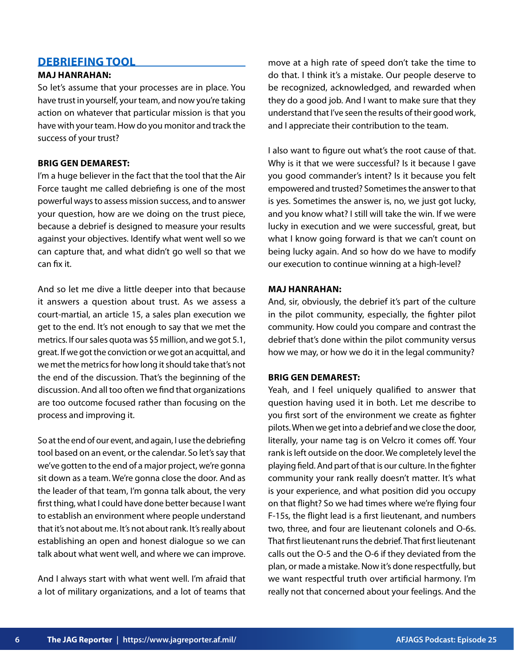# **DEBRIEFING TOOL**

# **MAJ HANRAHAN:**

So let's assume that your processes are in place. You have trust in yourself, your team, and now you're taking action on whatever that particular mission is that you have with your team. How do you monitor and track the success of your trust?

# **BRIG GEN DEMAREST:**

I'm a huge believer in the fact that the tool that the Air Force taught me called debriefing is one of the most powerful ways to assess mission success, and to answer your question, how are we doing on the trust piece, because a debrief is designed to measure your results against your objectives. Identify what went well so we can capture that, and what didn't go well so that we can fix it.

And so let me dive a little deeper into that because it answers a question about trust. As we assess a court-martial, an article 15, a sales plan execution we get to the end. It's not enough to say that we met the metrics. If our sales quota was \$5 million, and we got 5.1, great. If we got the conviction or we got an acquittal, and we met the metrics for how long it should take that's not the end of the discussion. That's the beginning of the discussion. And all too often we find that organizations are too outcome focused rather than focusing on the process and improving it.

So at the end of our event, and again, I use the debriefing tool based on an event, or the calendar. So let's say that we've gotten to the end of a major project, we're gonna sit down as a team. We're gonna close the door. And as the leader of that team, I'm gonna talk about, the very first thing, what I could have done better because I want to establish an environment where people understand that it's not about me. It's not about rank. It's really about establishing an open and honest dialogue so we can talk about what went well, and where we can improve.

And I always start with what went well. I'm afraid that a lot of military organizations, and a lot of teams that

move at a high rate of speed don't take the time to do that. I think it's a mistake. Our people deserve to be recognized, acknowledged, and rewarded when they do a good job. And I want to make sure that they understand that I've seen the results of their good work, and I appreciate their contribution to the team.

I also want to figure out what's the root cause of that. Why is it that we were successful? Is it because I gave you good commander's intent? Is it because you felt empowered and trusted? Sometimes the answer to that is yes. Sometimes the answer is, no, we just got lucky, and you know what? I still will take the win. If we were lucky in execution and we were successful, great, but what I know going forward is that we can't count on being lucky again. And so how do we have to modify our execution to continue winning at a high-level?

# **MAJ HANRAHAN:**

And, sir, obviously, the debrief it's part of the culture in the pilot community, especially, the fighter pilot community. How could you compare and contrast the debrief that's done within the pilot community versus how we may, or how we do it in the legal community?

#### **BRIG GEN DEMAREST:**

Yeah, and I feel uniquely qualified to answer that question having used it in both. Let me describe to you first sort of the environment we create as fighter pilots. When we get into a debrief and we close the door, literally, your name tag is on Velcro it comes off. Your rank is left outside on the door. We completely level the playing field. And part of that is our culture. In the fighter community your rank really doesn't matter. It's what is your experience, and what position did you occupy on that flight? So we had times where we're flying four F-15s, the flight lead is a first lieutenant, and numbers two, three, and four are lieutenant colonels and O-6s. That first lieutenant runs the debrief. That first lieutenant calls out the O-5 and the O-6 if they deviated from the plan, or made a mistake. Now it's done respectfully, but we want respectful truth over artificial harmony. I'm really not that concerned about your feelings. And the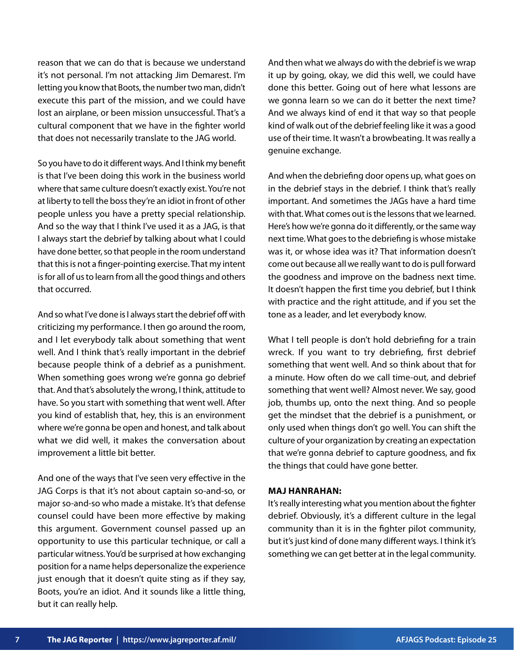reason that we can do that is because we understand it's not personal. I'm not attacking Jim Demarest. I'm letting you know that Boots, the number two man, didn't execute this part of the mission, and we could have lost an airplane, or been mission unsuccessful. That's a cultural component that we have in the fighter world that does not necessarily translate to the JAG world.

So you have to do it different ways. And I think my benefit is that I've been doing this work in the business world where that same culture doesn't exactly exist. You're not at liberty to tell the boss they're an idiot in front of other people unless you have a pretty special relationship. And so the way that I think I've used it as a JAG, is that I always start the debrief by talking about what I could have done better, so that people in the room understand that this is not a finger-pointing exercise. That my intent is for all of us to learn from all the good things and others that occurred.

And so what I've done is I always start the debrief off with criticizing my performance. I then go around the room, and I let everybody talk about something that went well. And I think that's really important in the debrief because people think of a debrief as a punishment. When something goes wrong we're gonna go debrief that. And that's absolutely the wrong, I think, attitude to have. So you start with something that went well. After you kind of establish that, hey, this is an environment where we're gonna be open and honest, and talk about what we did well, it makes the conversation about improvement a little bit better.

And one of the ways that I've seen very effective in the JAG Corps is that it's not about captain so-and-so, or major so-and-so who made a mistake. It's that defense counsel could have been more effective by making this argument. Government counsel passed up an opportunity to use this particular technique, or call a particular witness. You'd be surprised at how exchanging position for a name helps depersonalize the experience just enough that it doesn't quite sting as if they say, Boots, you're an idiot. And it sounds like a little thing, but it can really help.

And then what we always do with the debrief is we wrap it up by going, okay, we did this well, we could have done this better. Going out of here what lessons are we gonna learn so we can do it better the next time? And we always kind of end it that way so that people kind of walk out of the debrief feeling like it was a good use of their time. It wasn't a browbeating. It was really a genuine exchange.

And when the debriefing door opens up, what goes on in the debrief stays in the debrief. I think that's really important. And sometimes the JAGs have a hard time with that. What comes out is the lessons that we learned. Here's how we're gonna do it differently, or the same way next time. What goes to the debriefing is whose mistake was it, or whose idea was it? That information doesn't come out because all we really want to do is pull forward the goodness and improve on the badness next time. It doesn't happen the first time you debrief, but I think with practice and the right attitude, and if you set the tone as a leader, and let everybody know.

What I tell people is don't hold debriefing for a train wreck. If you want to try debriefing, first debrief something that went well. And so think about that for a minute. How often do we call time-out, and debrief something that went well? Almost never. We say, good job, thumbs up, onto the next thing. And so people get the mindset that the debrief is a punishment, or only used when things don't go well. You can shift the culture of your organization by creating an expectation that we're gonna debrief to capture goodness, and fix the things that could have gone better.

#### **MAJ HANRAHAN:**

It's really interesting what you mention about the fighter debrief. Obviously, it's a different culture in the legal community than it is in the fighter pilot community, but it's just kind of done many different ways. I think it's something we can get better at in the legal community.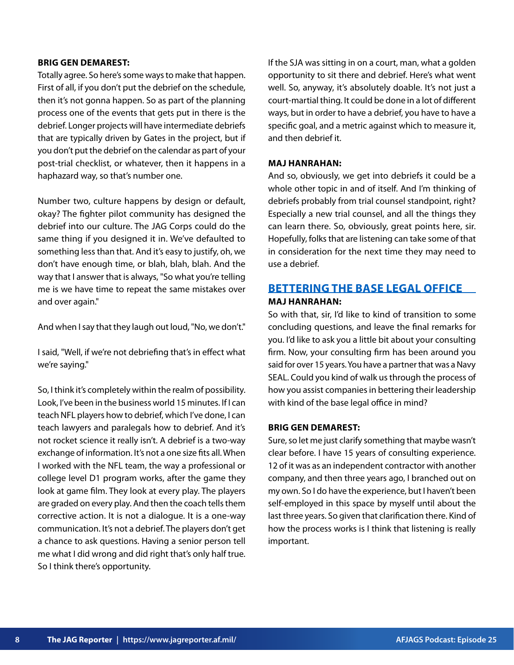#### **BRIG GEN DEMAREST:**

Totally agree. So here's some ways to make that happen. First of all, if you don't put the debrief on the schedule, then it's not gonna happen. So as part of the planning process one of the events that gets put in there is the debrief. Longer projects will have intermediate debriefs that are typically driven by Gates in the project, but if you don't put the debrief on the calendar as part of your post-trial checklist, or whatever, then it happens in a haphazard way, so that's number one.

Number two, culture happens by design or default, okay? The fighter pilot community has designed the debrief into our culture. The JAG Corps could do the same thing if you designed it in. We've defaulted to something less than that. And it's easy to justify, oh, we don't have enough time, or blah, blah, blah. And the way that I answer that is always, "So what you're telling me is we have time to repeat the same mistakes over and over again."

And when I say that they laugh out loud, "No, we don't."

I said, "Well, if we're not debriefing that's in effect what we're saying."

So, I think it's completely within the realm of possibility. Look, I've been in the business world 15 minutes. If I can teach NFL players how to debrief, which I've done, I can teach lawyers and paralegals how to debrief. And it's not rocket science it really isn't. A debrief is a two-way exchange of information. It's not a one size fits all. When I worked with the NFL team, the way a professional or college level D1 program works, after the game they look at game film. They look at every play. The players are graded on every play. And then the coach tells them corrective action. It is not a dialogue. It is a one-way communication. It's not a debrief. The players don't get a chance to ask questions. Having a senior person tell me what I did wrong and did right that's only half true. So I think there's opportunity.

If the SJA was sitting in on a court, man, what a golden opportunity to sit there and debrief. Here's what went well. So, anyway, it's absolutely doable. It's not just a court-martial thing. It could be done in a lot of different ways, but in order to have a debrief, you have to have a specific goal, and a metric against which to measure it, and then debrief it.

## **MAJ HANRAHAN:**

And so, obviously, we get into debriefs it could be a whole other topic in and of itself. And I'm thinking of debriefs probably from trial counsel standpoint, right? Especially a new trial counsel, and all the things they can learn there. So, obviously, great points here, sir. Hopefully, folks that are listening can take some of that in consideration for the next time they may need to use a debrief.

# **BETTERING THE BASE LEGAL OFFICE MAJ HANRAHAN:**

So with that, sir, I'd like to kind of transition to some concluding questions, and leave the final remarks for you. I'd like to ask you a little bit about your consulting firm. Now, your consulting firm has been around you said for over 15 years. You have a partner that was a Navy SEAL. Could you kind of walk us through the process of how you assist companies in bettering their leadership with kind of the base legal office in mind?

#### **BRIG GEN DEMAREST:**

Sure, so let me just clarify something that maybe wasn't clear before. I have 15 years of consulting experience. 12 of it was as an independent contractor with another company, and then three years ago, I branched out on my own. So I do have the experience, but I haven't been self-employed in this space by myself until about the last three years. So given that clarification there. Kind of how the process works is I think that listening is really important.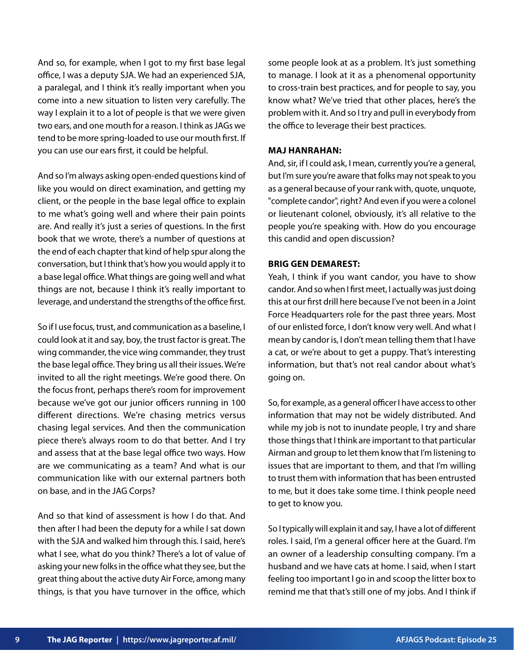And so, for example, when I got to my first base legal office, I was a deputy SJA. We had an experienced SJA, a paralegal, and I think it's really important when you come into a new situation to listen very carefully. The way I explain it to a lot of people is that we were given two ears, and one mouth for a reason. I think as JAGs we tend to be more spring-loaded to use our mouth first. If you can use our ears first, it could be helpful.

And so I'm always asking open-ended questions kind of like you would on direct examination, and getting my client, or the people in the base legal office to explain to me what's going well and where their pain points are. And really it's just a series of questions. In the first book that we wrote, there's a number of questions at the end of each chapter that kind of help spur along the conversation, but I think that's how you would apply it to a base legal office. What things are going well and what things are not, because I think it's really important to leverage, and understand the strengths of the office first.

So if I use focus, trust, and communication as a baseline, I could look at it and say, boy, the trust factor is great. The wing commander, the vice wing commander, they trust the base legal office. They bring us all their issues. We're invited to all the right meetings. We're good there. On the focus front, perhaps there's room for improvement because we've got our junior officers running in 100 different directions. We're chasing metrics versus chasing legal services. And then the communication piece there's always room to do that better. And I try and assess that at the base legal office two ways. How are we communicating as a team? And what is our communication like with our external partners both on base, and in the JAG Corps?

And so that kind of assessment is how I do that. And then after I had been the deputy for a while I sat down with the SJA and walked him through this. I said, here's what I see, what do you think? There's a lot of value of asking your new folks in the office what they see, but the great thing about the active duty Air Force, among many things, is that you have turnover in the office, which some people look at as a problem. It's just something to manage. I look at it as a phenomenal opportunity to cross-train best practices, and for people to say, you know what? We've tried that other places, here's the problem with it. And so I try and pull in everybody from the office to leverage their best practices.

#### **MAJ HANRAHAN:**

And, sir, if I could ask, I mean, currently you're a general, but I'm sure you're aware that folks may not speak to you as a general because of your rank with, quote, unquote, "complete candor", right? And even if you were a colonel or lieutenant colonel, obviously, it's all relative to the people you're speaking with. How do you encourage this candid and open discussion?

## **BRIG GEN DEMAREST:**

Yeah, I think if you want candor, you have to show candor. And so when I first meet, I actually was just doing this at our first drill here because I've not been in a Joint Force Headquarters role for the past three years. Most of our enlisted force, I don't know very well. And what I mean by candor is, I don't mean telling them that I have a cat, or we're about to get a puppy. That's interesting information, but that's not real candor about what's going on.

So, for example, as a general officer I have access to other information that may not be widely distributed. And while my job is not to inundate people, I try and share those things that I think are important to that particular Airman and group to let them know that I'm listening to issues that are important to them, and that I'm willing to trust them with information that has been entrusted to me, but it does take some time. I think people need to get to know you.

So I typically will explain it and say, I have a lot of different roles. I said, I'm a general officer here at the Guard. I'm an owner of a leadership consulting company. I'm a husband and we have cats at home. I said, when I start feeling too important I go in and scoop the litter box to remind me that that's still one of my jobs. And I think if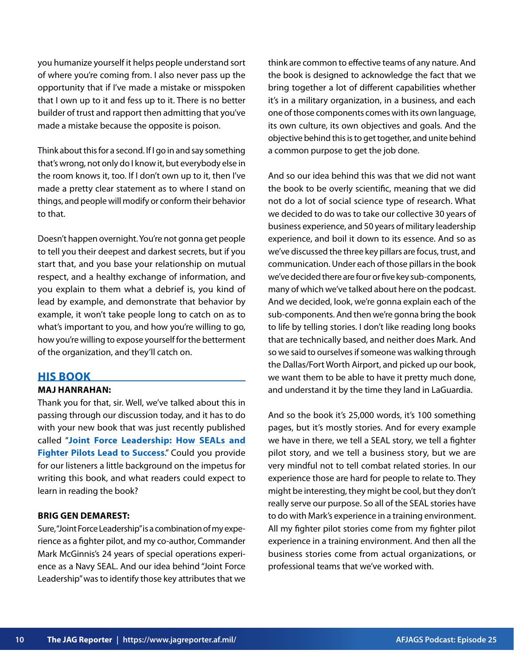you humanize yourself it helps people understand sort of where you're coming from. I also never pass up the opportunity that if I've made a mistake or misspoken that I own up to it and fess up to it. There is no better builder of trust and rapport then admitting that you've made a mistake because the opposite is poison.

Think about this for a second. If I go in and say something that's wrong, not only do I know it, but everybody else in the room knows it, too. If I don't own up to it, then I've made a pretty clear statement as to where I stand on things, and people will modify or conform their behavior to that.

Doesn't happen overnight. You're not gonna get people to tell you their deepest and darkest secrets, but if you start that, and you base your relationship on mutual respect, and a healthy exchange of information, and you explain to them what a debrief is, you kind of lead by example, and demonstrate that behavior by example, it won't take people long to catch on as to what's important to you, and how you're willing to go, how you're willing to expose yourself for the betterment of the organization, and they'll catch on.

# **HIS BOOK**

# **MAJ HANRAHAN:**

Thank you for that, sir. Well, we've talked about this in passing through our discussion today, and it has to do with your new book that was just recently published called "**[Joint Force Leadership: How SEALs and](https://www.jointforceleadership.com/get-the-book) [Fighter Pilots Lead to Success](https://www.jointforceleadership.com/get-the-book)**." Could you provide for our listeners a little background on the impetus for writing this book, and what readers could expect to learn in reading the book?

#### **BRIG GEN DEMAREST:**

Sure, "Joint Force Leadership" is a combination of my experience as a fighter pilot, and my co-author, Commander Mark McGinnis's 24 years of special operations experience as a Navy SEAL. And our idea behind "Joint Force Leadership" was to identify those key attributes that we think are common to effective teams of any nature. And the book is designed to acknowledge the fact that we bring together a lot of different capabilities whether it's in a military organization, in a business, and each one of those components comes with its own language, its own culture, its own objectives and goals. And the objective behind this is to get together, and unite behind a common purpose to get the job done.

And so our idea behind this was that we did not want the book to be overly scientific, meaning that we did not do a lot of social science type of research. What we decided to do was to take our collective 30 years of business experience, and 50 years of military leadership experience, and boil it down to its essence. And so as we've discussed the three key pillars are focus, trust, and communication. Under each of those pillars in the book we've decided there are four or five key sub-components, many of which we've talked about here on the podcast. And we decided, look, we're gonna explain each of the sub-components. And then we're gonna bring the book to life by telling stories. I don't like reading long books that are technically based, and neither does Mark. And so we said to ourselves if someone was walking through the Dallas/Fort Worth Airport, and picked up our book, we want them to be able to have it pretty much done, and understand it by the time they land in LaGuardia.

And so the book it's 25,000 words, it's 100 something pages, but it's mostly stories. And for every example we have in there, we tell a SEAL story, we tell a fighter pilot story, and we tell a business story, but we are very mindful not to tell combat related stories. In our experience those are hard for people to relate to. They might be interesting, they might be cool, but they don't really serve our purpose. So all of the SEAL stories have to do with Mark's experience in a training environment. All my fighter pilot stories come from my fighter pilot experience in a training environment. And then all the business stories come from actual organizations, or professional teams that we've worked with.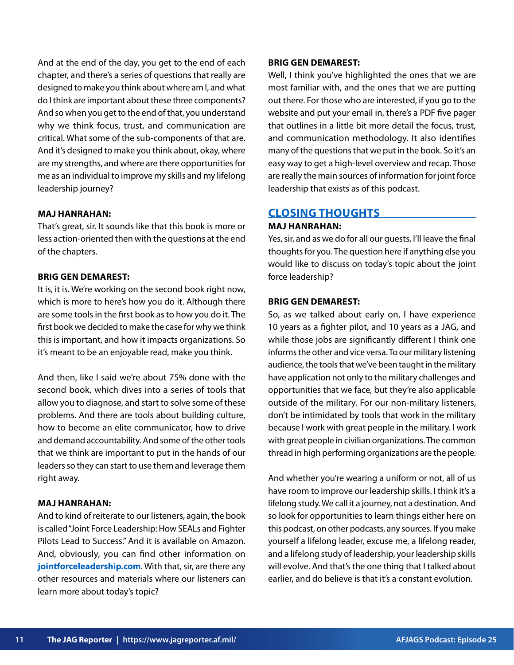And at the end of the day, you get to the end of each chapter, and there's a series of questions that really are designed to make you think about where am I, and what do I think are important about these three components? And so when you get to the end of that, you understand why we think focus, trust, and communication are critical. What some of the sub-components of that are. And it's designed to make you think about, okay, where are my strengths, and where are there opportunities for me as an individual to improve my skills and my lifelong leadership journey?

## **MAJ HANRAHAN:**

That's great, sir. It sounds like that this book is more or less action-oriented then with the questions at the end of the chapters.

# **BRIG GEN DEMAREST:**

It is, it is. We're working on the second book right now, which is more to here's how you do it. Although there are some tools in the first book as to how you do it. The first book we decided to make the case for why we think this is important, and how it impacts organizations. So it's meant to be an enjoyable read, make you think.

And then, like I said we're about 75% done with the second book, which dives into a series of tools that allow you to diagnose, and start to solve some of these problems. And there are tools about building culture, how to become an elite communicator, how to drive and demand accountability. And some of the other tools that we think are important to put in the hands of our leaders so they can start to use them and leverage them right away.

### **MAJ HANRAHAN:**

And to kind of reiterate to our listeners, again, the book is called "Joint Force Leadership: How SEALs and Fighter Pilots Lead to Success." And it is available on Amazon. And, obviously, you can find other information on **[jointforceleadership.com](https://www.jointforceleadership.com/)**. With that, sir, are there any other resources and materials where our listeners can learn more about today's topic?

#### **BRIG GEN DEMAREST:**

Well, I think you've highlighted the ones that we are most familiar with, and the ones that we are putting out there. For those who are interested, if you go to the website and put your email in, there's a PDF five pager that outlines in a little bit more detail the focus, trust, and communication methodology. It also identifies many of the questions that we put in the book. So it's an easy way to get a high-level overview and recap. Those are really the main sources of information for joint force leadership that exists as of this podcast.

# **CLOSING THOUGHTS**

#### **MAJ HANRAHAN:**

Yes, sir, and as we do for all our guests, I'll leave the final thoughts for you. The question here if anything else you would like to discuss on today's topic about the joint force leadership?

#### **BRIG GEN DEMAREST:**

So, as we talked about early on, I have experience 10 years as a fighter pilot, and 10 years as a JAG, and while those jobs are significantly different I think one informs the other and vice versa. To our military listening audience, the tools that we've been taught in the military have application not only to the military challenges and opportunities that we face, but they're also applicable outside of the military. For our non-military listeners, don't be intimidated by tools that work in the military because I work with great people in the military. I work with great people in civilian organizations. The common thread in high performing organizations are the people.

And whether you're wearing a uniform or not, all of us have room to improve our leadership skills. I think it's a lifelong study. We call it a journey, not a destination. And so look for opportunities to learn things either here on this podcast, on other podcasts, any sources. If you make yourself a lifelong leader, excuse me, a lifelong reader, and a lifelong study of leadership, your leadership skills will evolve. And that's the one thing that I talked about earlier, and do believe is that it's a constant evolution.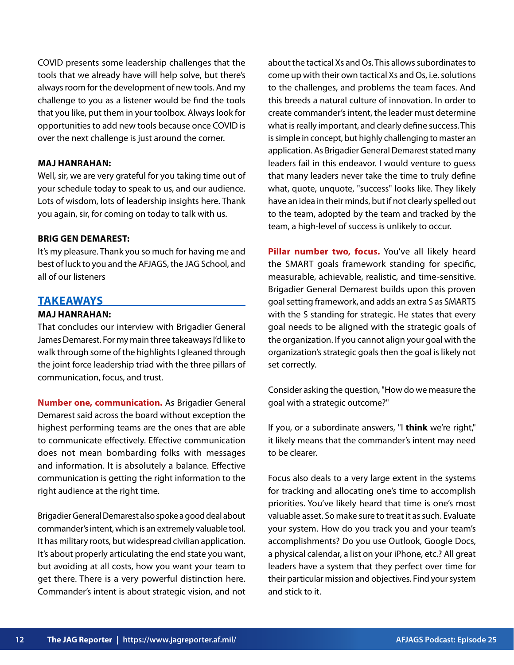COVID presents some leadership challenges that the tools that we already have will help solve, but there's always room for the development of new tools. And my challenge to you as a listener would be find the tools that you like, put them in your toolbox. Always look for opportunities to add new tools because once COVID is over the next challenge is just around the corner.

# **MAJ HANRAHAN:**

Well, sir, we are very grateful for you taking time out of your schedule today to speak to us, and our audience. Lots of wisdom, lots of leadership insights here. Thank you again, sir, for coming on today to talk with us.

### **BRIG GEN DEMAREST:**

It's my pleasure. Thank you so much for having me and best of luck to you and the AFJAGS, the JAG School, and all of our listeners

# **TAKEAWAYS**

# **MAJ HANRAHAN:**

That concludes our interview with Brigadier General James Demarest. For my main three takeaways I'd like to walk through some of the highlights I gleaned through the joint force leadership triad with the three pillars of communication, focus, and trust.

**Number one, communication.** As Brigadier General Demarest said across the board without exception the highest performing teams are the ones that are able to communicate effectively. Effective communication does not mean bombarding folks with messages and information. It is absolutely a balance. Effective communication is getting the right information to the right audience at the right time.

Brigadier General Demarest also spoke a good deal about commander's intent, which is an extremely valuable tool. It has military roots, but widespread civilian application. It's about properly articulating the end state you want, but avoiding at all costs, how you want your team to get there. There is a very powerful distinction here. Commander's intent is about strategic vision, and not

about the tactical Xs and Os. This allows subordinates to come up with their own tactical Xs and Os, i.e. solutions to the challenges, and problems the team faces. And this breeds a natural culture of innovation. In order to create commander's intent, the leader must determine what is really important, and clearly define success. This is simple in concept, but highly challenging to master an application. As Brigadier General Demarest stated many leaders fail in this endeavor. I would venture to guess that many leaders never take the time to truly define what, quote, unquote, "success" looks like. They likely have an idea in their minds, but if not clearly spelled out to the team, adopted by the team and tracked by the team, a high-level of success is unlikely to occur.

Pillar number two, focus. You've all likely heard the SMART goals framework standing for specific, measurable, achievable, realistic, and time-sensitive. Brigadier General Demarest builds upon this proven goal setting framework, and adds an extra S as SMARTS with the S standing for strategic. He states that every goal needs to be aligned with the strategic goals of the organization. If you cannot align your goal with the organization's strategic goals then the goal is likely not set correctly.

Consider asking the question, "How do we measure the goal with a strategic outcome?"

If you, or a subordinate answers, "I **think** we're right," it likely means that the commander's intent may need to be clearer.

Focus also deals to a very large extent in the systems for tracking and allocating one's time to accomplish priorities. You've likely heard that time is one's most valuable asset. So make sure to treat it as such. Evaluate your system. How do you track you and your team's accomplishments? Do you use Outlook, Google Docs, a physical calendar, a list on your iPhone, etc.? All great leaders have a system that they perfect over time for their particular mission and objectives. Find your system and stick to it.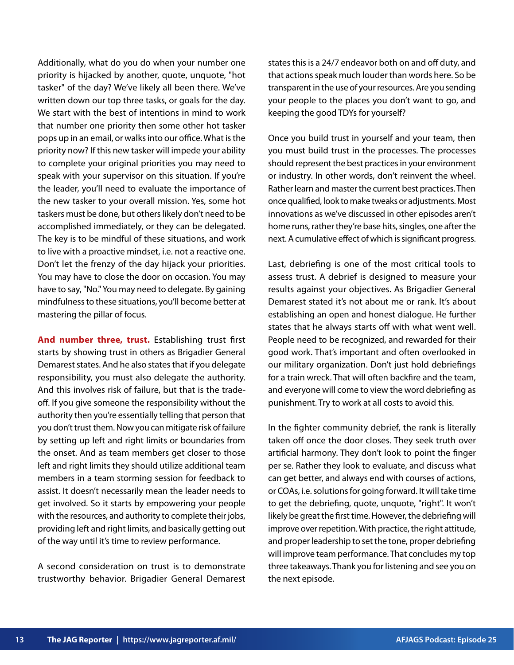Additionally, what do you do when your number one priority is hijacked by another, quote, unquote, "hot tasker" of the day? We've likely all been there. We've written down our top three tasks, or goals for the day. We start with the best of intentions in mind to work that number one priority then some other hot tasker pops up in an email, or walks into our office. What is the priority now? If this new tasker will impede your ability to complete your original priorities you may need to speak with your supervisor on this situation. If you're the leader, you'll need to evaluate the importance of the new tasker to your overall mission. Yes, some hot taskers must be done, but others likely don't need to be accomplished immediately, or they can be delegated. The key is to be mindful of these situations, and work to live with a proactive mindset, i.e. not a reactive one. Don't let the frenzy of the day hijack your priorities. You may have to close the door on occasion. You may have to say, "No." You may need to delegate. By gaining mindfulness to these situations, you'll become better at mastering the pillar of focus.

**And number three, trust.** Establishing trust first starts by showing trust in others as Brigadier General Demarest states. And he also states that if you delegate responsibility, you must also delegate the authority. And this involves risk of failure, but that is the tradeoff. If you give someone the responsibility without the authority then you're essentially telling that person that you don't trust them. Now you can mitigate risk of failure by setting up left and right limits or boundaries from the onset. And as team members get closer to those left and right limits they should utilize additional team members in a team storming session for feedback to assist. It doesn't necessarily mean the leader needs to get involved. So it starts by empowering your people with the resources, and authority to complete their jobs, providing left and right limits, and basically getting out of the way until it's time to review performance.

A second consideration on trust is to demonstrate trustworthy behavior. Brigadier General Demarest states this is a 24/7 endeavor both on and off duty, and that actions speak much louder than words here. So be transparent in the use of your resources. Are you sending your people to the places you don't want to go, and keeping the good TDYs for yourself?

Once you build trust in yourself and your team, then you must build trust in the processes. The processes should represent the best practices in your environment or industry. In other words, don't reinvent the wheel. Rather learn and master the current best practices. Then once qualified, look to make tweaks or adjustments. Most innovations as we've discussed in other episodes aren't home runs, rather they're base hits, singles, one after the next. A cumulative effect of which is significant progress.

Last, debriefing is one of the most critical tools to assess trust. A debrief is designed to measure your results against your objectives. As Brigadier General Demarest stated it's not about me or rank. It's about establishing an open and honest dialogue. He further states that he always starts off with what went well. People need to be recognized, and rewarded for their good work. That's important and often overlooked in our military organization. Don't just hold debriefings for a train wreck. That will often backfire and the team, and everyone will come to view the word debriefing as punishment. Try to work at all costs to avoid this.

In the fighter community debrief, the rank is literally taken off once the door closes. They seek truth over artificial harmony. They don't look to point the finger per se. Rather they look to evaluate, and discuss what can get better, and always end with courses of actions, or COAs, i.e. solutions for going forward. It will take time to get the debriefing, quote, unquote, "right". It won't likely be great the first time. However, the debriefing will improve over repetition. With practice, the right attitude, and proper leadership to set the tone, proper debriefing will improve team performance. That concludes my top three takeaways. Thank you for listening and see you on the next episode.